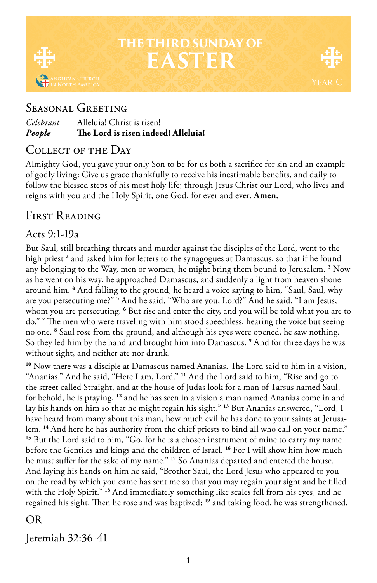

# **THE THIRD SUNDAY OF EASTER**

## Seasonal Greeting

| People    | The Lord is risen indeed! Alleluia! |
|-----------|-------------------------------------|
| Celebrant | Alleluia! Christ is risen!          |

### COLLECT OF THE DAY

Almighty God, you gave your only Son to be for us both a sacrifice for sin and an example of godly living: Give us grace thankfully to receive his inestimable benefits, and daily to follow the blessed steps of his most holy life; through Jesus Christ our Lord, who lives and reigns with you and the Holy Spirit, one God, for ever and ever. **Amen.**

## FIRST READING

### Acts 9:1-19a

But Saul, still breathing threats and murder against the disciples of the Lord, went to the high priest<sup>2</sup> and asked him for letters to the synagogues at Damascus, so that if he found any belonging to the Way, men or women, he might bring them bound to Jerusalem. **<sup>3</sup>** Now as he went on his way, he approached Damascus, and suddenly a light from heaven shone around him. **<sup>4</sup>** And falling to the ground, he heard a voice saying to him, "Saul, Saul, why are you persecuting me?" **<sup>5</sup>** And he said, "Who are you, Lord?" And he said, "I am Jesus, whom you are persecuting. **<sup>6</sup>** But rise and enter the city, and you will be told what you are to do." **<sup>7</sup>** The men who were traveling with him stood speechless, hearing the voice but seeing no one. **<sup>8</sup>** Saul rose from the ground, and although his eyes were opened, he saw nothing. So they led him by the hand and brought him into Damascus. **<sup>9</sup>** And for three days he was without sight, and neither ate nor drank.

**<sup>10</sup>** Now there was a disciple at Damascus named Ananias. The Lord said to him in a vision, "Ananias." And he said, "Here I am, Lord." **<sup>11</sup>** And the Lord said to him, "Rise and go to the street called Straight, and at the house of Judas look for a man of Tarsus named Saul, for behold, he is praying, **<sup>12</sup>** and he has seen in a vision a man named Ananias come in and lay his hands on him so that he might regain his sight." **<sup>13</sup>** But Ananias answered, "Lord, I have heard from many about this man, how much evil he has done to your saints at Jerusalem. **14** And here he has authority from the chief priests to bind all who call on your name." **<sup>15</sup>** But the Lord said to him, "Go, for he is a chosen instrument of mine to carry my name before the Gentiles and kings and the children of Israel. **<sup>16</sup>** For I will show him how much he must suffer for the sake of my name." **<sup>17</sup>** So Ananias departed and entered the house. And laying his hands on him he said, "Brother Saul, the Lord Jesus who appeared to you on the road by which you came has sent me so that you may regain your sight and be filled with the Holy Spirit." **<sup>18</sup>** And immediately something like scales fell from his eyes, and he regained his sight. Then he rose and was baptized; **<sup>19</sup>** and taking food, he was strengthened.

#### OR

Jeremiah 32:36-41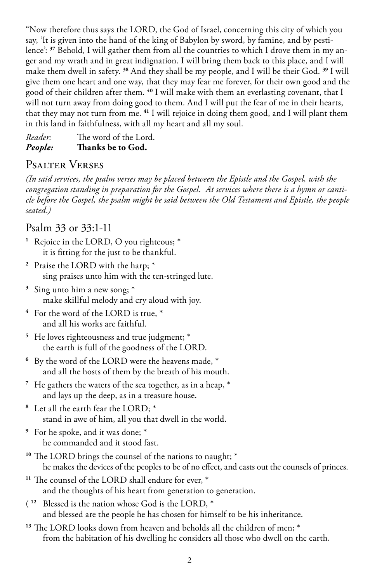"Now therefore thus says the LORD, the God of Israel, concerning this city of which you say, 'It is given into the hand of the king of Babylon by sword, by famine, and by pestilence': **37** Behold, I will gather them from all the countries to which I drove them in my anger and my wrath and in great indignation. I will bring them back to this place, and I will make them dwell in safety. **<sup>38</sup>** And they shall be my people, and I will be their God. **<sup>39</sup>** I will give them one heart and one way, that they may fear me forever, for their own good and the good of their children after them. **<sup>40</sup>** I will make with them an everlasting covenant, that I will not turn away from doing good to them. And I will put the fear of me in their hearts, that they may not turn from me. **<sup>41</sup>** I will rejoice in doing them good, and I will plant them in this land in faithfulness, with all my heart and all my soul.

*Reader:* The word of the Lord. *People:* **Thanks be to God.** 

### Psalter Verses

*(In said services, the psalm verses may be placed between the Epistle and the Gospel, with the congregation standing in preparation for the Gospel. At services where there is a hymn or canticle before the Gospel, the psalm might be said between the Old Testament and Epistle, the people seated.)*

#### Psalm 33 or 33:1-11

**<sup>1</sup>** Rejoice in the LORD, O you righteous; \* it is fitting for the just to be thankful.

- **<sup>2</sup>** Praise the LORD with the harp; \* sing praises unto him with the ten-stringed lute.
- **<sup>3</sup>** Sing unto him a new song; \* make skillful melody and cry aloud with joy.
- **<sup>4</sup>** For the word of the LORD is true, \* and all his works are faithful.
- **<sup>5</sup>** He loves righteousness and true judgment; \* the earth is full of the goodness of the LORD.
- **<sup>6</sup>** By the word of the LORD were the heavens made, \* and all the hosts of them by the breath of his mouth.
- **<sup>7</sup>** He gathers the waters of the sea together, as in a heap, \* and lays up the deep, as in a treasure house.
- **<sup>8</sup>** Let all the earth fear the LORD; \* stand in awe of him, all you that dwell in the world.
- **<sup>9</sup>** For he spoke, and it was done; \* he commanded and it stood fast.
- **<sup>10</sup>** The LORD brings the counsel of the nations to naught; \* he makes the devices of the peoples to be of no effect, and casts out the counsels of princes.
- **<sup>11</sup>** The counsel of the LORD shall endure for ever, \* and the thoughts of his heart from generation to generation.
- ( **<sup>12</sup>** Blessed is the nation whose God is the LORD, \* and blessed are the people he has chosen for himself to be his inheritance.
- **<sup>13</sup>** The LORD looks down from heaven and beholds all the children of men; \* from the habitation of his dwelling he considers all those who dwell on the earth.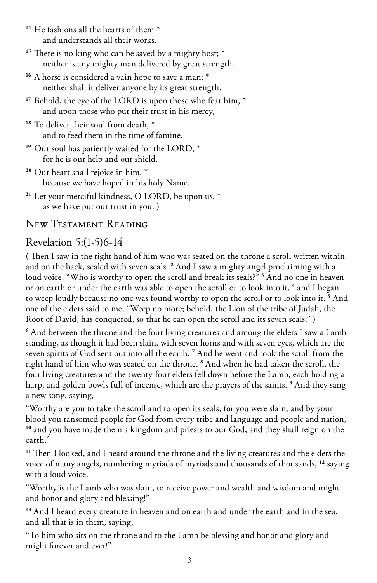- **<sup>14</sup>** He fashions all the hearts of them \* and understands all their works.
- **<sup>15</sup>** There is no king who can be saved by a mighty host; \* neither is any mighty man delivered by great strength.
- <sup>16</sup> A horse is considered a vain hope to save a man;  $*$ neither shall it deliver anyone by its great strength.
- **<sup>17</sup>** Behold, the eye of the LORD is upon those who fear him, \* and upon those who put their trust in his mercy,
- **<sup>18</sup>** To deliver their soul from death, \* and to feed them in the time of famine.
- **<sup>19</sup>** Our soul has patiently waited for the LORD, \* for he is our help and our shield.
- **<sup>20</sup>** Our heart shall rejoice in him, \* because we have hoped in his holy Name.
- **<sup>21</sup>** Let your merciful kindness, O LORD, be upon us, \* as we have put our trust in you. )

### New Testament Reading

# Revelation 5:(1-5)6-14

( Then I saw in the right hand of him who was seated on the throne a scroll written within and on the back, sealed with seven seals. **<sup>2</sup>** And I saw a mighty angel proclaiming with a loud voice, "Who is worthy to open the scroll and break its seals?" **<sup>3</sup>** And no one in heaven or on earth or under the earth was able to open the scroll or to look into it, **<sup>4</sup>** and I began to weep loudly because no one was found worthy to open the scroll or to look into it. **<sup>5</sup>** And one of the elders said to me, "Weep no more; behold, the Lion of the tribe of Judah, the Root of David, has conquered, so that he can open the scroll and its seven seals." )

**6** And between the throne and the four living creatures and among the elders I saw a Lamb standing, as though it had been slain, with seven horns and with seven eyes, which are the seven spirits of God sent out into all the earth. **<sup>7</sup>** And he went and took the scroll from the right hand of him who was seated on the throne. **<sup>8</sup>** And when he had taken the scroll, the four living creatures and the twenty-four elders fell down before the Lamb, each holding a harp, and golden bowls full of incense, which are the prayers of the saints. **<sup>9</sup>** And they sang a new song, saying,

"Worthy are you to take the scroll and to open its seals, for you were slain, and by your blood you ransomed people for God from every tribe and language and people and nation, **<sup>10</sup>** and you have made them a kingdom and priests to our God, and they shall reign on the earth."

**<sup>11</sup>** Then I looked, and I heard around the throne and the living creatures and the elders the voice of many angels, numbering myriads of myriads and thousands of thousands, **<sup>12</sup>** saying with a loud voice,

"Worthy is the Lamb who was slain, to receive power and wealth and wisdom and might and honor and glory and blessing!"

**<sup>13</sup>** And I heard every creature in heaven and on earth and under the earth and in the sea, and all that is in them, saying,

"To him who sits on the throne and to the Lamb be blessing and honor and glory and might forever and ever!"